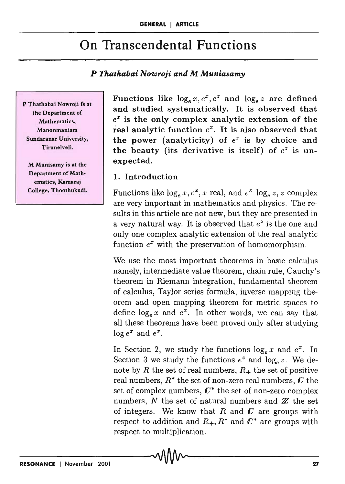## On Transcendental Functions

## *P Thathabai NO'WTOji and* M *Muniasamy*

P Thathabai Nowroji is at the Department of Mathematics, Manonmaniam Sundaranar University, Tirunelveli.

M Munisamy is at the Department of Mathematics, Kamaraj College, Thoothukudi. Functions like  $\log_e x, e^x, e^z$  and  $\log_e z$  are defined and studied systematically. It is observed that <sup>e</sup>*<sup>Z</sup>*is the only complex analytic extension of the real analytic function  $e^x$ . It is also observed that the power (analyticity) of  $e^z$  is by choice and the beauty (its derivative is itself) of  $e^z$  is unexpected.

## 1. Introduction

Functions like  $\log_e x, e^x, x$  real, and  $e^z \log_e z, z$  complex are very important in mathematics and physics. The results in this article are not new, but they are presented in a very natural way. It is observed that  $e^z$  is the one and only one complex analytic extension of the real analytic function  $e^x$  with the preservation of homomorphism.

We use the most important theorems in basic calculus namely, intermediate value theorem, chain rule, Cauchy's theorem in Riemann integration, fundamental theorem of calculus, Taylor series formula, inverse mapping theorem and open mapping theorem for metric spaces to define  $\log_e x$  and  $e^x$ . In other words, we can say that all these theorems have been proved only after studying  $\log e^x$  and  $e^x$ .

In Section 2, we study the functions  $\log_e x$  and  $e^x$ . In Section 3 we study the functions  $e^z$  and  $\log_e z$ . We denote by R the set of real numbers,  $R_+$  the set of positive real numbers,  $R^*$  the set of non-zero real numbers,  $C$  the set of complex numbers,  $C^*$  the set of non-zero complex numbers,  $N$  the set of natural numbers and  $Z$  the set of integers. We know that  $R$  and  $C$  are groups with respect to addition and  $R_+$ ,  $R^*$  and  $C^*$  are groups with respect to multiplication.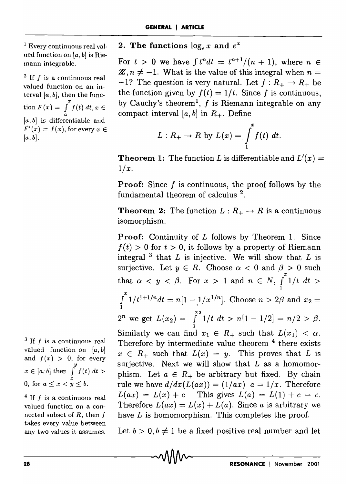1 Every continuous real valued function on  $[a, b]$  is Riemann integrable.

 $2$  If f is a continuous real valued function on an interval  $[a, b]$ , then the func- $\sin F(x) = \int_{a}^{x} f(t) dt, x \in$  $[a, b]$  is differentiable and  $F'(x) = f(x)$ , for every  $x \in$  $[a, b]$ .

2. The functions  $\log_e x$  and  $e^x$ 

For  $t > 0$  we have  $\int t^n dt = t^{n+1}/(n+1)$ , where  $n \in$  $\mathbb{Z}, n \neq -1$ . What is the value of this integral when  $n =$  $-1$ ? The question is very natural. Let  $f: R_+ \to R_+$  be the function given by  $f(t) = 1/t$ . Since f is continuous, by Cauchy's theorem<sup>1</sup>, f is Riemann integrable on any compact interval  $[a, b]$  in  $R_+$ . Define

$$
L: R_+ \to R \text{ by } L(x) = \int_1^x f(t) \ dt.
$$

**Theorem 1:** The function *L* is differentiable and  $L'(x) =$  $1/x$ .

**Proof:** Since  $f$  is continuous, the proof follows by the fundamental theorem of calculus 2.

**Theorem 2:** The function  $L: R_+ \to R$  is a continuous isomorphism.

Proof: Continuity of L follows by Theorem 1. Since  $f(t) > 0$  for  $t > 0$ , it follows by a property of Riemann integral  $3$  that *L* is injective. We will show that *L* is surjective. Let  $y \in R$ . Choose  $\alpha < 0$  and  $\beta > 0$  such that  $\alpha < y < \beta$ . For  $x > 1$  and  $n \in N$ ,  $\int_{1}^{x} 1/t \, dt >$  $\int_{1}^{x} 1/t^{1+1/n} dt = n[1 - 1/x^{1/n}]$ . Choose  $n > 2\beta$  and  $x_2 =$ *Z*<sup>*n*</sup> we get  $L(x_2) = \int_1^{x_2} 1/t \ dt > n[1 - 1/2] = n/2 > \beta$ . Similarly we can find  $x_1 \in R_+$  such that  $L(x_1) < \alpha$ . Therefore by intermediate value theorem <sup>4</sup> there exists  $x \in R_+$  such that  $L(x) = y$ . This proves that *L* is surjective. Next we will show that  $L$  as a homomorphism. Let  $a \in R_+$  be arbitrary but fixed. By chain rule we have  $d/dx(L(ax)) = (1/ax)$   $a = 1/x$ . Therefore  $L(ax) = L(x) + c$  This gives  $L(a) = L(1) + c = c$ . Therefore  $L(ax) = L(x) + L(a)$ . Since *a* is arbitrary we have *L* is homomorphism. This completes the proof.

Let  $b > 0, b \neq 1$  be a fixed positive real number and let

 $3$  If f is a continuous real valued function on *la,* b] and  $f(x) > 0$ , for every  $x \in [a, b]$  then  $\int^y f(t) dt >$ 0, for  $a < x < y < b$ .

 $4$  If f is a continuous real valued function on a connected subset of  $R$ , then  $f$ takes every value between any two values it assumes.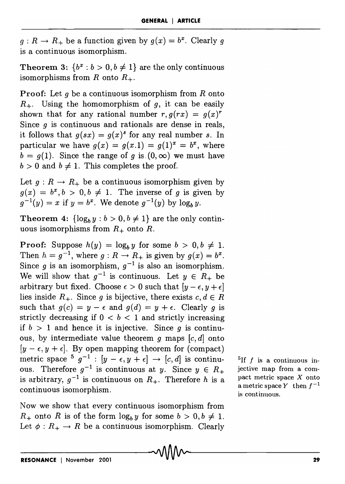$g: R \to R_+$  be a function given by  $g(x) = b^x$ . Clearly g is a continuous isomorphism.

**Theorem 3:**  $\{b^x : b > 0, b \neq 1\}$  are the only continuous isomorphisms from R onto  $R_+$ .

Proof: Let *9* be a continuous isomorphism from *R* onto  $R_{+}$ . Using the homomorphism of q, it can be easily shown that for any rational number  $r, g(rx) = g(x)^r$ Since  $q$  is continuous and rationals are dense in reals, it follows that  $g(sx) = g(x)^s$  for any real number s. In particular we have  $g(x) = g(x,1) = g(1)^x = b^x$ , where  $b = g(1)$ . Since the range of *g* is  $(0, \infty)$  we must have  $b > 0$  and  $b \neq 1$ . This completes the proof.

Let  $g: R \to R_+$  be a continuous isomorphism given by  $g(x) = b^x, b > 0, b \neq 1$ . The inverse of *g* is given by  $g^{-1}(y) = x$  if  $y = b^x$ . We denote  $g^{-1}(y)$  by  $\log_b y$ .

Theorem 4:  $\{\log_b y : b > 0, b \neq 1\}$  are the only continuous isomorphisms from  $R_+$  onto  $R$ .

**Proof:** Suppose  $h(y) = \log_b y$  for some  $b > 0, b \neq 1$ . Then  $h = g^{-1}$ , where  $g: R \to R_+$  is given by  $g(x) = b^x$ . Since *g* is an isomorphism,  $g^{-1}$  is also an isomorphism. We will show that  $g^{-1}$  is continuous. Let  $y \in R_+$  be arbitrary but fixed. Choose  $\epsilon > 0$  such that  $[y - \epsilon, y + \epsilon]$ lies inside  $R_+$ . Since g is bijective, there exists  $c, d \in R$ such that  $g(c) = y - \epsilon$  and  $g(d) = y + \epsilon$ . Clearly g is strictly decreasing if  $0 < b < 1$  and strictly increasing if  $b > 1$  and hence it is injective. Since *q* is continuous, by intermediate value theorem  $g$  maps  $[c, d]$  onto  $[y - \epsilon, y + \epsilon]$ . By open mapping theorem for (compact) metric space  $5 \text{ g}^{-1}$  :  $[y - \epsilon, y + \epsilon] \rightarrow [c, d]$  is continuous. Therefore  $g^{-1}$  is continuous at y. Since  $y \in R_+$ is arbitrary,  $g^{-1}$  is continuous on  $R_+$ . Therefore h is a continuous isomorphism.

Now we show that every continuous isomorphism from  $R_+$  onto R is of the form  $\log_b y$  for some  $b > 0, b \neq 1$ . Let  $\phi: R_+ \to R$  be a continuous isomorphism. Clearly

<sup>5</sup>If  $f$  is a continuous injective map from a compact metric space  $X$  onto a metric space Y then  $f^{-1}$ is continuous.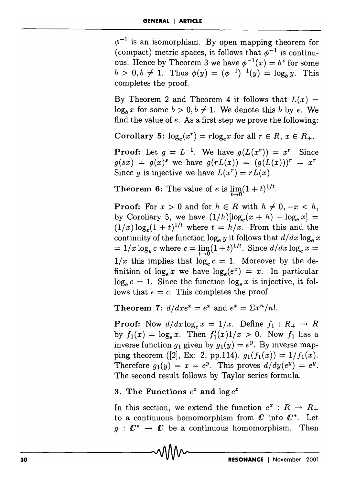$\phi^{-1}$  is an isomorphism. By open mapping theorem for (compact) metric spaces, it follows that  $\phi^{-1}$  is continuous. Hence by Theorem 3 we have  $\phi^{-1}(x) = b^x$  for some  $b > 0, b \neq 1$ . Thus  $\phi(y) = (\phi^{-1})^{-1}(y) = \log_b y$ . This completes the proof.

By Theorem 2 and Theorem 4 it follows that  $L(x) =$  $log_b x$  for some  $b > 0, b \neq 1$ . We denote this *b* by *e*. We find the value of e. As a first step we prove the following:

Corollary 5:  $\log_e(x^r) = r \log_e x$  for all  $r \in R$ ,  $x \in R_+$ .

**Proof:** Let  $g = L^{-1}$ . We have  $g(L(x^r)) = x^r$  Since  $g(sx) = g(x)^s$  we have  $g(rL(x)) = (g(L(x)))^r = x^r$ Since *g* is injective we have  $L(x^r) = rL(x)$ .

**Theorem 6:** The value of e is  $\lim_{x\to0} (1+t)^{1/t}$ .

**Proof:** For  $x > 0$  and for  $h \in R$  with  $h \neq 0, -x < h$ , by Corollary 5, we have  $(1/h)[\log_e(x+h) - \log_e x] =$  $(1/x) \log_e(1+t)^{1/t}$  where  $t = h/x$ . From this and the continuity of the function  $\log_e y$  it follows that  $d/dx \log_e x$  $=1/x \log_e c$  where  $c = \lim_{t\to 0} (1+t)^{1/t}$ . Since  $d/dx \log_e x =$  $1/x$  this implies that  $\log_e c = 1$ . Moreover by the definition of  $\log_e x$  we have  $\log_e (e^x) = x$ . In particular  $log_e e = 1$ . Since the function  $log_e x$  is injective, it follows that  $e = c$ . This completes the proof.

Theorem 7:  $d/dxe^x=e^x$  and  $e^x=\sum x^n/n!$ .

**Proof:** Now  $d/dx \log_e x = 1/x$ . Define  $f_1 : R_+ \to R$ by  $f_1(x) = \log_e x$ . Then  $f'_1(x)1/x > 0$ . Now  $f_1$  has a inverse function  $g_1$  given by  $g_1(y) = e^y$ . By inverse mapping theorem ([2], Ex: 2, pp.114),  $g_1(f_1(x)) = 1/f_1(x)$ . Therefore  $g_1(y) = x = e^y$ . This proves  $d/dy(e^y) = e^y$ . The second result follows by Taylor series formula.

3. The Functions  $e^z$  and  $\log e^z$ 

In this section, we extend the function  $e^x : R \to R_+$ to a continuous homomorphism from  $\mathbb C$  into  $\mathbb C^*$ . Let  $g: \mathbb{C}^* \to \mathbb{C}$  be a continuous homomorphism. Then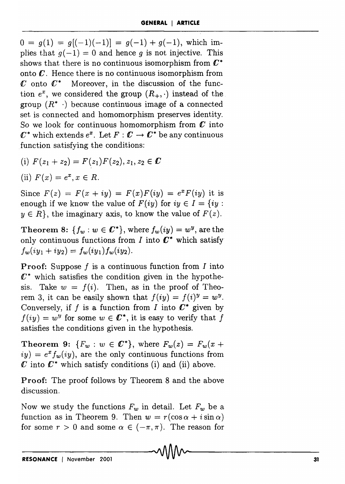$0 = q(1) = q[(-1)(-1)] = q(-1) + q(-1)$ , which implies that  $g(-1) = 0$  and hence g is not injective. This shows that there is no continuous isomorphism from  $\mathbb{C}^*$ onto *C.* Hence there is no continuous isomorphism from  $\mathcal{C}$  onto  $\mathcal{C}^*$  Moreover, in the discussion of the function  $e^x$ , we considered the group  $(R_+, \cdot)$  instead of the group  $(R^* \cdot)$  because continuous image of a connected set is connected and homomorphism preserves identity. So we look for continuous homomorphism from *C* into  $\mathbb{C}^*$  which extends  $e^x$ . Let  $F : \mathbb{C} \to \mathbb{C}^*$  be any continuous function satisfying the conditions:

- (i)  $F(z_1 + z_2) = F(z_1)F(z_2), z_1, z_2 \in \mathbb{C}$
- (ii)  $F(x) = e^x, x \in R$ .

Since  $F(z) = F(x + iy) = F(x)F(iy) = e^x F(iy)$  it is enough if we know the value of  $F(iy)$  for  $iy \in I = \{ iy :$  $y \in R$ , the imaginary axis, to know the value of  $F(z)$ .

Theorem 8:  ${f_w : w \in \mathbb{C}^*}$ , where  $f_w(iy) = w^y$ , are the only continuous functions from  $I$  into  $C^*$  which satisfy  $f_w(iy_1 + iy_2) = f_w(iy_1) f_w(iy_2).$ 

**Proof:** Suppose  $f$  is a continuous function from  $I$  into  $\mathbb{C}^*$  which satisfies the condition given in the hypothesis. Take  $w = f(i)$ . Then, as in the proof of Theorem 3, it can be easily shown that  $f(iy) = f(i)^y = w^y$ . Conversely, if f is a function from I into  $\mathbb{C}^*$  given by  $f(iy) = w^y$  for some  $w \in \mathbb{C}^*$ , it is easy to verify that f satisfies the conditions given in the hypothesis.

**Theorem 9:**  ${F_w : w \in \mathbb{C}^*}, \text{ where } F_w(z) = F_w(x + z)$  $iy) = e^x f_w(iy)$ , are the only continuous functions from  $\mathcal C$  into  $\mathcal C^*$  which satisfy conditions (i) and (ii) above.

Proof: The proof follows by Theorem 8 and the above discussion.

Now we study the functions  $F_w$  in detail. Let  $F_w$  be a function as in Theorem 9. Then  $w = r(\cos \alpha + i \sin \alpha)$ for some  $r > 0$  and some  $\alpha \in (-\pi, \pi)$ . The reason for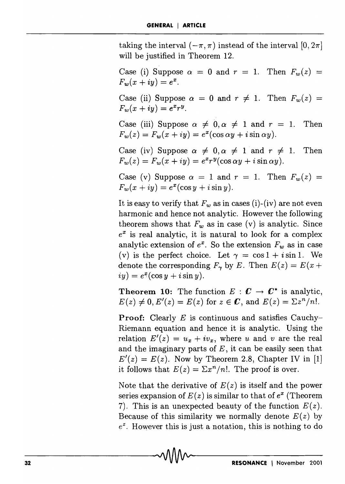taking the interval  $(-\pi, \pi)$  instead of the interval  $[0, 2\pi]$ will be justified in Theorem 12.

Case (i) Suppose  $\alpha = 0$  and  $r = 1$ . Then  $F_w(z) =$  $F_w(x + iy) = e^x$ .

Case (ii) Suppose  $\alpha = 0$  and  $r \neq 1$ . Then  $F_w(z) =$  $F_w(x + iy) = e^x r^y$ .

Case (iii) Suppose  $\alpha \neq 0, \alpha \neq 1$  and  $r = 1$ . Then  $F_w(z) = F_w(x + iy) = e^x(\cos \alpha y + i \sin \alpha y).$ 

Case (iv) Suppose  $\alpha \neq 0, \alpha \neq 1$  and  $r \neq 1$ . Then  $F_w(z) = F_w(x + iy) = e^x r^y(\cos \alpha y + i \sin \alpha y).$ 

Case (v) Suppose  $\alpha = 1$  and  $r = 1$ . Then  $F_w(z) =$  $F_w(x + iy) = e^x(\cos y + i \sin y).$ 

It is easy to verify that  $F_w$  as in cases (i)-(iv) are not even harmonic and hence not analytic. However the following theorem shows that  $F_w$  as in case (v) is analytic. Since  $e^x$  is real analytic, it is natural to look for a complex analytic extension of  $e^x$ . So the extension  $F_w$  as in case (v) is the perfect choice. Let  $\gamma = \cos 1 + i \sin 1$ . We denote the corresponding  $F_{\gamma}$  by *E*. Then  $E(z) = E(x + z)$  $iy) = e^x(\cos y + i \sin y).$ 

**Theorem 10:** The function  $E: \mathbb{C} \to \mathbb{C}^*$  is analytic,  $E(z) \neq 0, E'(z) = E(z)$  for  $z \in \mathbb{C}$ , and  $E(z) = \sum z^n/n!$ .

**Proof:** Clearly E is continuous and satisfies Cauchy-Riemann equation and hence it is analytic. Using the relation  $E'(z) = u_x + iv_x$ , where u and v are the real and the imaginary parts of  $E$ , it can be easily seen that  $E'(z) = E(z)$ . Now by Theorem 2.8, Chapter IV in [1] it follows that  $E(z) = \sum x^n/n!$ . The proof is over.

Note that the derivative of  $E(z)$  is itself and the power series expansion of  $E(z)$  is similar to that of  $e^x$  (Theorem 7). This is an unexpected beauty of the function  $E(z)$ . Because of this similarity we normally denote  $E(z)$  by  $e^z$ . However this is just a notation, this is nothing to do